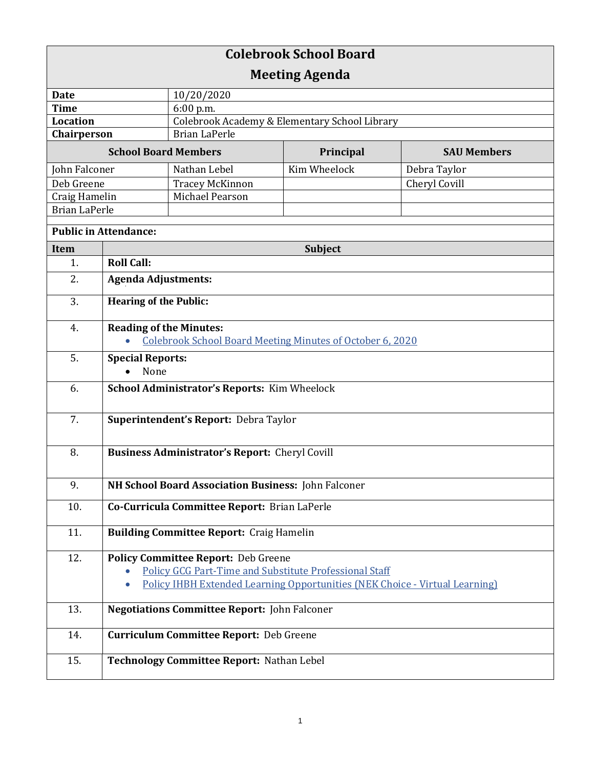| <b>Colebrook School Board</b> |                                                                  |                                                               |                                                                                    |                    |  |
|-------------------------------|------------------------------------------------------------------|---------------------------------------------------------------|------------------------------------------------------------------------------------|--------------------|--|
| <b>Meeting Agenda</b>         |                                                                  |                                                               |                                                                                    |                    |  |
| <b>Date</b>                   |                                                                  | 10/20/2020                                                    |                                                                                    |                    |  |
| <b>Time</b>                   |                                                                  | 6:00 p.m.                                                     |                                                                                    |                    |  |
| <b>Location</b>               |                                                                  | Colebrook Academy & Elementary School Library                 |                                                                                    |                    |  |
| Chairperson                   |                                                                  | <b>Brian LaPerle</b>                                          |                                                                                    |                    |  |
| <b>School Board Members</b>   |                                                                  |                                                               | Principal                                                                          | <b>SAU Members</b> |  |
| John Falconer                 |                                                                  | Nathan Lebel                                                  | Kim Wheelock                                                                       | Debra Taylor       |  |
| Deb Greene                    |                                                                  | <b>Tracey McKinnon</b>                                        |                                                                                    | Cheryl Covill      |  |
| Craig Hamelin                 |                                                                  | Michael Pearson                                               |                                                                                    |                    |  |
| <b>Brian LaPerle</b>          |                                                                  |                                                               |                                                                                    |                    |  |
| <b>Public in Attendance:</b>  |                                                                  |                                                               |                                                                                    |                    |  |
| Item                          | <b>Subject</b>                                                   |                                                               |                                                                                    |                    |  |
| 1.                            | <b>Roll Call:</b>                                                |                                                               |                                                                                    |                    |  |
| 2.                            | <b>Agenda Adjustments:</b>                                       |                                                               |                                                                                    |                    |  |
| 3.                            | <b>Hearing of the Public:</b>                                    |                                                               |                                                                                    |                    |  |
| 4.                            | <b>Reading of the Minutes:</b>                                   |                                                               |                                                                                    |                    |  |
|                               | <b>Colebrook School Board Meeting Minutes of October 6, 2020</b> |                                                               |                                                                                    |                    |  |
| 5.                            | <b>Special Reports:</b>                                          |                                                               |                                                                                    |                    |  |
|                               | None                                                             |                                                               |                                                                                    |                    |  |
| 6.                            | School Administrator's Reports: Kim Wheelock                     |                                                               |                                                                                    |                    |  |
|                               |                                                                  |                                                               |                                                                                    |                    |  |
| 7.                            | Superintendent's Report: Debra Taylor                            |                                                               |                                                                                    |                    |  |
| 8.                            |                                                                  |                                                               |                                                                                    |                    |  |
|                               | <b>Business Administrator's Report: Cheryl Covill</b>            |                                                               |                                                                                    |                    |  |
| 9.                            | NH School Board Association Business: John Falconer              |                                                               |                                                                                    |                    |  |
| 10.                           | Co-Curricula Committee Report: Brian LaPerle                     |                                                               |                                                                                    |                    |  |
| 11.                           | <b>Building Committee Report: Craig Hamelin</b>                  |                                                               |                                                                                    |                    |  |
| 12.                           |                                                                  | <b>Policy Committee Report: Deb Greene</b>                    |                                                                                    |                    |  |
|                               |                                                                  | <b>Policy GCG Part-Time and Substitute Professional Staff</b> |                                                                                    |                    |  |
|                               | $\bullet$                                                        |                                                               | <b>Policy IHBH Extended Learning Opportunities (NEK Choice - Virtual Learning)</b> |                    |  |
| 13.                           | <b>Negotiations Committee Report: John Falconer</b>              |                                                               |                                                                                    |                    |  |
| 14.                           | <b>Curriculum Committee Report: Deb Greene</b>                   |                                                               |                                                                                    |                    |  |
| 15.                           |                                                                  | Technology Committee Report: Nathan Lebel                     |                                                                                    |                    |  |